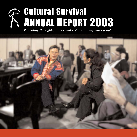# Cultural Survival ANNUAL REPORT 2003

Promoting the rights, voices, and visions of indigenous peoples

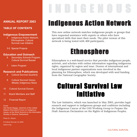#### **ANNUAL REPORT 2003**

#### **TABLE OF CONTENTS**

#### **Indigenous Empowerment**

- 2 Indigenous Action Network, Ethnosphere, Cultural Survival Law Initiative
- 3-5 Special Projects

#### **Education and Outreach**

- 6 Secondary Schools Program, Cultural Survival Bazaar
- 7 Intern Program

#### **Research and Publications**

- 8 *Cultural Survival Quarterly*
- 9 *Cultural Survival Voices*, *Weekly Indigenous News*
- 10 Cultural Survival Donors
- 11 Board Members and Staff
- 12 Financial Report

#### Cover

Ole Henrik Magga, chairman of the United Nations Permanent Forum on Indigenous Issues, at the World Summit on the Information Society in Geneva, Switzerland

Photo © J. Brown

© Cultural Survival, Inc 2004 www.cs.org

# Indigenous Action Network

This new online network matches indigenous people or groups that have requested assistance with experts or others who have specialized skills that meet their needs. The pilot version of this network is being tested with 400 participants.

## Ethnosphere

Ethnosphere is a web-based service that provides indigenous people, activists, and scholars with online information regarding indigenous rights, organized by region and issue. Dozens of international and local indigenous partner organizations were involved in the planning for Ethnosphere, which was developed with seed funding from the National Geographic Society.

## Cultural Survival Law Initiative

The Law Initiative, which was launched in May 2003, provides legal research and support to indigenous groups and coalitions including the Indigenous Caucus of the OAS Working Group to Prepare the Draft American Declaration on the Rights of Indigenous Peoples.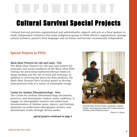# Cultural Survival Special Projects E M P O W E R M E N T

Cultural Survival provides organizational and administrative support, and acts as a fiscal sponsor to small, independent initiatives that assist indigenous groups to build effective organizations, manage natural resources, preserve their languages and art forms, and become economically independent.

#### Special Projects in FY03:

#### Black Mesa Weavers for Life and Land - USA

The Black Mesa Weavers for Life and Land betters the economic and social conditions of the Black Mesa Diné (Navajo) by preserving traditional lifeways based on sheep herding and the sale of wool and weavings. In addition to receiving fair prices for their products, the Black Mesa Weavers have received grants to develop solar-powered wells as a source of sustainable energy.

#### Center for Andean Ethnomusicology - Peru

The Center for Andean Ethnomusicology documents, preserves, and disseminates Andean music traditions. It engages in ethnographic research and audiovisual documentation of Andean music, dances, and festivals; maintains an audiovisual ethnographic archive; and disseminates results through diverse media.

special projects continued on page 4



Xavante Wara Archive Project coordinator, Hiparidi Top'tiro, discussing his project with Cultural Survival President, David Maybury-Lewis.

Photo © J. Brown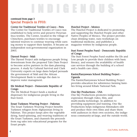#### continued from page 3 Special Projects in FY03:

#### Center for Traditional Textiles of Cusco - Peru

The Center for Traditional Textiles of Cusco was established to help revive and preserve Peruvian Inca textiles. The Center, located in the village of Chinchero, purchases textiles to encourage talented weavers to continue weaving while earning money to support their families. It became an independent non-governmental organization in 2003.

#### Djenné Project - Mali

The Djenné Project aids indigenous people living downstream from the proposed Talo Dam Project to become active partners in the dam planning process. A study by Cultural Survival and Clark University experts on large dams helped persuade the government of Mali and the African Development Bank to redesign the dam to improve water managment.

#### Efe Medical Project - Democratic Republic of Congo

The Efe Medical Project funds a medical dispensary for indigneous people living in the Ituri forest.

#### Ersari Turkmen Weaving Project - Pakistan

The Ersari Turkmen Weaving Project benefits Turkmen refugees from Afghanistan living in Pakistan. This project keeps alive the vegetable dying, hand-spinning, and weaving traditions of the Ersari Turkmen, and channels the proceeds from rug sales into educational programs for the Ersari people.

#### Huichol Project - Mexico

The Huichol Project is dedicated to promoting and supporting the Huichol People and other Native Peoples of Mexico. The project provides clean drinking water, runs workshops on traditional medicine, and publishes a magazine written by indigenous people.

#### Ituri Forest Peoples Fund - Democratic Republic of Congo

The Ituri Forest Peoples Fund enables the Efe and Lese people to provide their children with basic literacy, and ensures the availability of health care services through the building of a school and a health care clinic.

#### Kasiisi/Kanyawara School Building Project - Uganda

The Kasiisi/Kanyawara School Building Project provides education for subsistence farming families living around Kibale National Park.

#### One Sky Productions - USA

One Sky Productions promotes indigenous expression through video, film, and multi-media technology. In addition to providing equipment and training, One Sky Productions helps indigenous filmmakers edit and produce their own films and share them with audiences in their own societies, the indigenous community-at-large, and the outside world.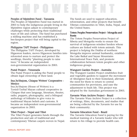# E M P O W E R M E N T

#### Peoples of Mpimbwe Fund - Tanzania

The Peoples of Mpimbwe Fund was started in 2003 to help the indigenous people living in the Mpimbwe region adjust to contemporary challenges while protecting their traditional ways of life and culture. The fund has purchased a milling machine and has established a bee-keepers project that will bring capital to the region.

#### Philippine TAFT Project - Philippines

The Philippine TAFT Project, developed by Higaonon leaders, moves Higaonon families into reforested areas to nurture and protect the seedlings, thereby "planting people to raise trees." It became an independent non-governmental organization in 2003.

#### Pumé Project - Venezuela

The Pumé Project is aiding the Pumé people to obtain legal ownership of their land.

#### Sna Jtz'ibajom, Chiapas Writers' Cooperative - Mexico

Sna Jtz'ibajom (House of Writers) is a Tzotzil-Tzeltal Mayan cultural cooperative in Chiapas that uses language, literature, theater, radio, puppets, photography, and a bilingual anthology of folktales to give voice to traditional Mayan beliefs and customs. It became an independent non-governmental organization in 2003.

#### Tibet Project - Nepal and Tibet

The Tibet Project generates funds through the production and sale of traditional and contemporary Tibetan carpets woven in Nepal.

The funds are used to support education, reforestation, and other projects that benefit Tibetan communities in Tibet, India, Nepal, and the United States.

#### Totem Peoples Preservation Project - Mongolia and Russia

The Totem Peoples Preservation Project of Siberia and Mongolia works to ensure the survival of indigenous reindeer herders whose cultures are linked with totem animals. This project is helping the Dukha of northern Mongolia improve animal husbandry, establish the Lake Baikal and Sayan Mountains International Peace Park, and promote collaboration between totem peoples and other indigenous groups.

#### Wangurri Garden Project - Australia

The Wangurri Garden Project establishes fruit and vegetable gardens to support the movement of Aborigines back to their homeland, alleviate the need for them to return to central communities for provisions, and ease the adjustment to bush life. This project was adopted by the Australian government in 2003.

#### Xavante Wara Archive Project - Brazil

The Xavante Wara Archive Project is a collection of writings, films, documents, and studies that are being collected by the Xavante for use by their community.

#### Xavante Education Fund - Brazil

The Xavante Education Fund is paying for the medical training of a Xavante leader who will return to his village to provide health care.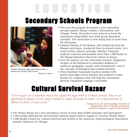# Secondary Schools Program



Geraldo Yanomami talks with Roberta Pinto, a student from Hudson High School. Photo © J. Brown

- This year the program developed a new curriculum resource packet: Maasai Culture, Colonization, and Change. Nearly 30 teachers were trained to teach the curriculum using debate and small group discussion activities. The curriculum is now being used in more than 60 classrooms.
- Ledama Olekina of the Maasai, who helped develop the Maasai curriculum, conducted three in-school events. As a result of this cultural exchange, Martha's Vineyard students collected and donated more than 1,500 books to the Maasai Education Discovery Library in Kenya.
- Over 50 teachers use the curriculum resource Indigenous Peoples of the Rainforest to introduce students to rainforest geography, people, and environments, and to the concepts of biological and cultural diversity.
- Three Brazilian Yanomami teachers worked with Boston-area high school teachers and students to raise money for computers that will help the Yanomami develop Yanamami language curriculum.

## Cultural Survival Bazaar

*"These bazaars are so important because they support the bigger work of Cultural Survival. They are an opportunity for people to see the artistic creativity of people all around the world…it's a huge panorama of different art forms. It's just a feast."* 

Pamela Rosi, an anthropology lecturer at Bridgewater State College and Bazaar vendor of Zapotec carpets from Mexico

- The Winter Bazaar set a new attendance record of more than 8,000 customers and participants
- 1,500 people attended the third annual Summer Bazaar held in August in Tiverton, Rhode Island.
- 1,000 people visited the Cultural Survival sales booths at the American Anthropological Association annual conference in Chicago.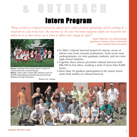## Intern Program

*"Being an intern at Cultural Survival has allowed me to explore practical anthropology and the workings of a non-profit on a day to day basis. My awareness of the issues that many indigenous peoples face has grown and helped me to see what actions can be taken to address their struggle for rights."* 



**Above:** Sandeep Kindo leads interns in dance at Cultural Survival's summer Bazaar. **Below:** Interns take a break after painting a barn for SHARE (Strengthening Haudenosaunee-American Relations through Education).

Sarah Albrecht, an anthropology graduate of Kansas State University and Cultural Survival intern

- In 2003, Cultural Survival hosted 62 interns, seven of whom were from overseas institutions. Forty-seven were undergraduates, six were graduate students, and two were high school students.
- Together these interns provided Cultural Survival with \$86,590 in free labor, working a total of more than 8,000 hours.
- More than 30 speakers participated in the intern lunch series held weekly at Cultural Survival.



Photos © R. Coderre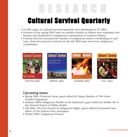# Cultural Survival Quarterly

- 21,980 copies of Cultural Survival Quarterly were distributed in FY 2003.
- Portions of the spring 2003 issue on reindeer herders in Siberia were translated into Russian and distributed to indigenous communities in southern Siberia.
- Cultural Survival increased the number of indigenous writers contributing to each issue. Sixty-five percent of articles in the fall 2003 issue were from indigenous contributors.



#### Upcoming issues:

- Spring 2004: Protected Areas, guest edited by Fergus MacKay of The Forest Peoples Programme
- Summer 2004: Indigenous Health in the Rainforest, guest edited by Robbie Ali of the Harvard School of Public Health
- Fall 2004: The Past Decade in Indigenous Rights, guest edited by Kenneth Deer, editor of The Eastern Door newspaper
- Winter 2005: Indigenous Women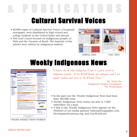Cultural Survival Voices

- 40,000 copies of Cultural Survival Voices, a bi-annual newspaper, were distributed to high school and college students in the United States and abroad.
- This year's issues focused on indigenous peoples of Mali and the Xavante of Brazil. The majority of the articles were written by indigenous authors.





SPRING 2003 FALL 2003

# Weekly Indigenous News



ONLINE WEEKLY NEWS WEBSITE

*"I believe the Weekly Indigenous News is a great service to indigenous peoples. At the World Bank, my colleagues and I are regular readers and users of the Weekly News."* 

> Mr. Navin Rai Indigenous Peoples Coordinator The World Bank

- In the past year the Weekly Indigenous News had more than 360,000 visits.
- Weekly Indigenous News stories are sent to 1,000 subscribers via e-mail.
- A link to the Weekly Indigenous News appears on the Websites of our media partners NationalGeographic.com, DevelopmentGateway.org, and OneWorld.net.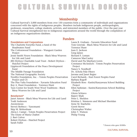# C U L T U R A L S U R V I V A L D O N O R S

#### Membership

Cultural Survival's 3,000 members from over 150 countries form a community of individuals and organizations concerned with the rights of indigenous peoples. Members include indigenous people, anthropologists, professors, researchers, college students, activists, and interested members of the public. Over the past year Cultural Survival strengthened ties to indigenous organizations around the world through the compilation of an indigenous organizations database.

#### Funders

#### Foundations and Corporations

The Charlotte Forsythe Fund, a fund of the Headwaters Fund The Cottonwood Foundation - Wangurri Garden Project Jessie Smith Noyes Foundation - Black Mesa Weavers for Life and Land JRS Dryfoos Charitable Lead Trust - Robert Dryfoos - Huichol Project Lippincott Foundation of the Peace Development Fund The Middle Passage Foundation The National Geographic Society Nordlys Foundation, Inc. - Totem Peoples Preservation Project and CS The Plus Valia Foundation - Xavante Education Fund Roy A. Hunt Foundation - Torrence Hunt Taos Center for South West Wool Traditions - Black Mesa Weavers for Life and Land

#### Benefactors\*

Janet Ameen - Black Mesa Weavers for Life and Land Todd Anderson Anonymous Steven Berbeco - Yanomami Skip M. Brittenham Alicia J. Campi - Totem Peoples Preservation Project The Estate of Maria Chabot J. Bart Culver Robert Dryfoos - Huichol Project Sarah Fuller

Laura R. Graham - Xavante Education Fund Tom Greytak - Black Mesa Weavers for Life and Land Torrence Hunt Jean E. Jackson Greg James Richard F. Leman Cameron MacCauley David and Pia Maybury-Lewis Constance McAninch - Totem Peoples Preservation Project Nancy S. Nordhoff Dr. Achola Pala Okeyo Jerome and Janet Regier Carol Richards - Ituri Forest Peoples Fund Barbara Rogoff Elizabeth Ross - Kasiisi/Kanyawara School Building Project Ellen Sarkisian - Kasiisi/Kanyawara School Building Project Glenn Schiavo Rajeev Shah Peter L. Sheldon Kristina L. Simmons and Michael Sheridan Irene M. Staehelin Gerrit Stover Christopher Walter John T. Watson Philip Young

\* Donors who gave \$1000+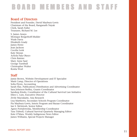# B O A R D M E M B E R S A N D S T A F F

#### Board of Directors

President and Founder, David Maybury-Lewis Chairman of the Board, Ranganath Nayak Clerk, Sarah Fuller Treasurer, Richard M. Lee

S. James Anaya Monique Borgerhoff-Mulder Wade Davis Elizabeth Grady James Howe Jean Jackson Cecelia Lenk Katy Moran Achola Pala Okeyo Chris Rainier Mary Anne Saul George Turnbull Christopher Walter Rosita Worl

#### **Staff**

Jamie Brown, Website Development and IT Specialist Mark Camp, Director of Operations Sofia Flynn, Accounting Sarah Hay, Publications Distribution and Advertising Coordinator Sara Johnson-Steffey, Grants Coordinator Sandeep Kindo, Coordinator of the Cultural Survival Law Initiative Ellen L. Lutz, Executive Director Zivile Maciukaite, Asia Research Lisa Matthews, Secondary Schools Program Coordinator Pia Maybury-Lewis, Intern Program and Bazaar Coordinator Ian S. McIntosh, Senior Editor Agnes Portaleweska, Membership Coordinator Tara Tidwell, Cultural Survival Quarterly Managing Editor Kate O'Mara, Weekly Indigenous News Editor James Williams, Special Projects Manager